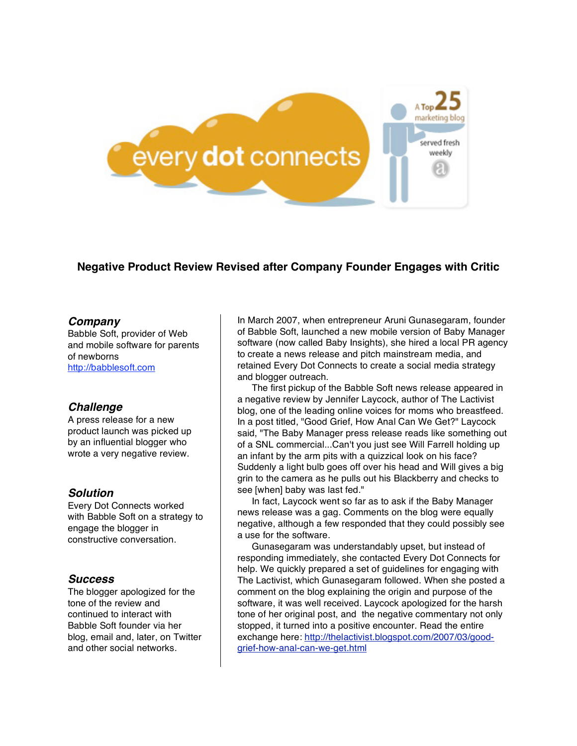

# **Negative Product Review Revised after Company Founder Engages with Critic**

#### *Company*

Babble Soft, provider of Web and mobile software for parents of newborns http://babblesoft.com

## *Challenge*

A press release for a new product launch was picked up by an influential blogger who wrote a very negative review.

## *Solution*

Every Dot Connects worked with Babble Soft on a strategy to engage the blogger in constructive conversation.

## *Success*

The blogger apologized for the tone of the review and continued to interact with Babble Soft founder via her blog, email and, later, on Twitter and other social networks.

In March 2007, when entrepreneur Aruni Gunasegaram, founder of Babble Soft, launched a new mobile version of Baby Manager software (now called Baby Insights), she hired a local PR agency to create a news release and pitch mainstream media, and retained Every Dot Connects to create a social media strategy and blogger outreach.

The first pickup of the Babble Soft news release appeared in a negative review by Jennifer Laycock, author of The Lactivist blog, one of the leading online voices for moms who breastfeed. In a post titled, "Good Grief, How Anal Can We Get?" Laycock said, "The Baby Manager press release reads like something out of a SNL commercial...Can't you just see Will Farrell holding up an infant by the arm pits with a quizzical look on his face? Suddenly a light bulb goes off over his head and Will gives a big grin to the camera as he pulls out his Blackberry and checks to see [when] baby was last fed."

In fact, Laycock went so far as to ask if the Baby Manager news release was a gag. Comments on the blog were equally negative, although a few responded that they could possibly see a use for the software.

Gunasegaram was understandably upset, but instead of responding immediately, she contacted Every Dot Connects for help. We quickly prepared a set of guidelines for engaging with The Lactivist, which Gunasegaram followed. When she posted a comment on the blog explaining the origin and purpose of the software, it was well received. Laycock apologized for the harsh tone of her original post, and the negative commentary not only stopped, it turned into a positive encounter. Read the entire exchange here: http://thelactivist.blogspot.com/2007/03/goodgrief-how-anal-can-we-get.html